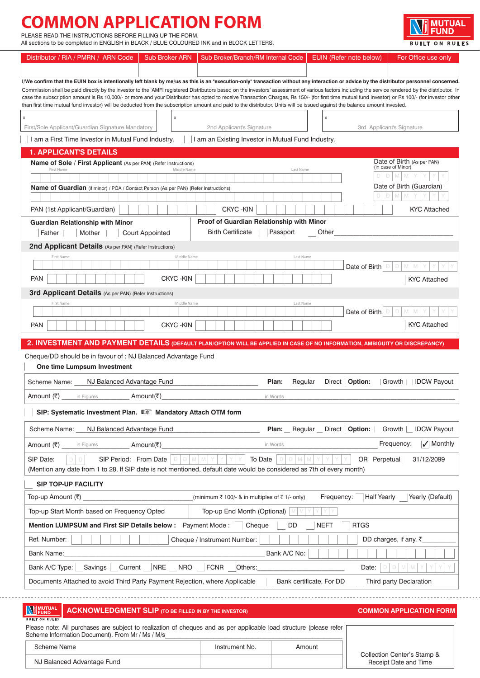# **COMMON APPLICATION FORM**

PLEASE READ THE INSTRUCTIONS BEFORE FILLING UP THE FORM.

. . . . . . .

All sections to be completed in ENGLISH in BLACK / BLUE COLOURED INK and in BLOCK LETTERS.

| Distributor / RIA / PMRN / ARN Code                                                                                                                                                                                                                                                                                                                                                            | <b>Sub Broker ARN</b>  | Sub Broker/Branch/RM Internal Code                                                                                                              | EUIN (Refer note below)    | For Office use only                              |
|------------------------------------------------------------------------------------------------------------------------------------------------------------------------------------------------------------------------------------------------------------------------------------------------------------------------------------------------------------------------------------------------|------------------------|-------------------------------------------------------------------------------------------------------------------------------------------------|----------------------------|--------------------------------------------------|
|                                                                                                                                                                                                                                                                                                                                                                                                |                        |                                                                                                                                                 |                            |                                                  |
| l/We confirm that the EUIN box is intentionally left blank by me/us as this is an "execution-only" transaction without any interaction or advice by the distributor personnel concerned.<br>Commission shall be paid directly by the investor to the 'AMFI registered Distributors based on the investors' assessment of various factors including the service rendered by the distributor. In |                        |                                                                                                                                                 |                            |                                                  |
| case the subscription amount is Rs 10,000/- or more and your Distributor has opted to receive Transaction Charges, Rs 150/- (for first time mutual fund investor) or Rs 100/- (for investor other<br>than first time mutual fund investor) will be deducted from the subscription amount and paid to the distributor. Units will be issued against the balance amount invested.                |                        |                                                                                                                                                 |                            |                                                  |
|                                                                                                                                                                                                                                                                                                                                                                                                |                        |                                                                                                                                                 | X                          |                                                  |
| First/Sole Applicant/Guardian Signature Mandatory                                                                                                                                                                                                                                                                                                                                              | Χ                      | 2nd Applicant's Signature                                                                                                                       |                            | 3rd Applicant's Signature                        |
| I am a First Time Investor in Mutual Fund Industry.                                                                                                                                                                                                                                                                                                                                            |                        | I am an Existing Investor in Mutual Fund Industry.                                                                                              |                            |                                                  |
| <b>1. APPLICANT'S DETAILS</b>                                                                                                                                                                                                                                                                                                                                                                  |                        |                                                                                                                                                 |                            |                                                  |
| Name of Sole / First Applicant (As per PAN) (Refer Instructions)                                                                                                                                                                                                                                                                                                                               |                        |                                                                                                                                                 |                            | Date of Birth (As per PAN)<br>(in case of Minor) |
| First Name                                                                                                                                                                                                                                                                                                                                                                                     | Middle Name            | Last Name                                                                                                                                       |                            |                                                  |
| Name of Guardian (if minor) / POA / Contact Person (As per PAN) (Refer Instructions)                                                                                                                                                                                                                                                                                                           |                        |                                                                                                                                                 |                            | Date of Birth (Guardian)                         |
|                                                                                                                                                                                                                                                                                                                                                                                                |                        |                                                                                                                                                 |                            |                                                  |
| PAN (1st Applicant/Guardian)                                                                                                                                                                                                                                                                                                                                                                   |                        | <b>CKYC-KIN</b>                                                                                                                                 |                            | <b>KYC Attached</b>                              |
| <b>Guardian Relationship with Minor</b><br>Mother  <br>Father                                                                                                                                                                                                                                                                                                                                  | <b>Court Appointed</b> | Proof of Guardian Relationship with Minor<br><b>Birth Certificate</b><br>Passport                                                               | Other                      |                                                  |
|                                                                                                                                                                                                                                                                                                                                                                                                |                        |                                                                                                                                                 |                            |                                                  |
| 2nd Applicant Details (As per PAN) (Refer Instructions)<br>First Name                                                                                                                                                                                                                                                                                                                          | Middle Name            | Last Name                                                                                                                                       |                            |                                                  |
|                                                                                                                                                                                                                                                                                                                                                                                                |                        |                                                                                                                                                 | Date of Birth              |                                                  |
| <b>PAN</b>                                                                                                                                                                                                                                                                                                                                                                                     | <b>CKYC-KIN</b>        |                                                                                                                                                 |                            | <b>KYC Attached</b>                              |
| <b>3rd Applicant Details</b> (As per PAN) (Refer Instructions)                                                                                                                                                                                                                                                                                                                                 |                        |                                                                                                                                                 |                            |                                                  |
| First Name                                                                                                                                                                                                                                                                                                                                                                                     | Middle Name            | Last Name                                                                                                                                       | D                          | M<br>D                                           |
|                                                                                                                                                                                                                                                                                                                                                                                                |                        |                                                                                                                                                 | Date of Birth              | <b>KYC Attached</b>                              |
| <b>PAN</b>                                                                                                                                                                                                                                                                                                                                                                                     | <b>CKYC-KIN</b>        |                                                                                                                                                 |                            |                                                  |
| 2. INVESTMENT AND PAYMENT DETAILS (DEFAULT PLAN/OPTION WILL BE APPLIED IN CASE OF NO INFORMATION, AMBIGUITY OR DISCREPANCY)                                                                                                                                                                                                                                                                    |                        |                                                                                                                                                 |                            |                                                  |
| Cheque/DD should be in favour of : NJ Balanced Advantage Fund                                                                                                                                                                                                                                                                                                                                  |                        |                                                                                                                                                 |                            |                                                  |
| One time Lumpsum Investment                                                                                                                                                                                                                                                                                                                                                                    |                        |                                                                                                                                                 |                            |                                                  |
| NJ Balanced Advantage Fund<br>Scheme Name:                                                                                                                                                                                                                                                                                                                                                     |                        | Regular<br>Plan:                                                                                                                                |                            | Direct   Option: Growth IDCW Payout              |
| <b>Amount (₹)</b> in Figures                                                                                                                                                                                                                                                                                                                                                                   | Amount(₹)              | in Words                                                                                                                                        |                            |                                                  |
| SIP: Systematic Investment Plan. L <sup>2</sup> Mandatory Attach OTM form                                                                                                                                                                                                                                                                                                                      |                        |                                                                                                                                                 |                            |                                                  |
| Scheme Name:<br>NJ Balanced Advantage Fund                                                                                                                                                                                                                                                                                                                                                     |                        | Regular<br>Plan:                                                                                                                                | Direct   Option:           | Growth<br><b>IDCW Payout</b>                     |
| Amount (₹)<br>in Figures                                                                                                                                                                                                                                                                                                                                                                       | Amount(₹)              | in Words                                                                                                                                        |                            | $\sqrt{\ }$ Monthly<br>Frequency:                |
| SIP Date:<br>$\Box$<br>SIP Period: From Date                                                                                                                                                                                                                                                                                                                                                   | M I<br>$D$ $D$         | To Date<br>D<br>M<br>M<br>(Mention any date from 1 to 28, If SIP date is not mentioned, default date would be considered as 7th of every month) | OR Perpetual               | 31/12/2099                                       |
| <b>SIP TOP-UP FACILITY</b>                                                                                                                                                                                                                                                                                                                                                                     |                        |                                                                                                                                                 |                            |                                                  |
| Top-up Amount (₹)                                                                                                                                                                                                                                                                                                                                                                              |                        | (minimum ₹ 100/- & in multiples of ₹ 1/- only)                                                                                                  | Frequency:                 | Half Yearly Yearly (Default)                     |
| Top-up Start Month based on Frequency Opted                                                                                                                                                                                                                                                                                                                                                    |                        | Top-up End Month (Optional)   M   M                                                                                                             |                            |                                                  |
| <b>Mention LUMPSUM and First SIP Details below:</b>                                                                                                                                                                                                                                                                                                                                            |                        | Payment Mode: Cheque<br>DD                                                                                                                      | <b>RTGS</b><br><b>NEFT</b> |                                                  |
| Ref. Number:                                                                                                                                                                                                                                                                                                                                                                                   |                        | Cheque / Instrument Number:                                                                                                                     |                            | DD charges, if any. $\bar{\tau}$                 |
| Bank Name:                                                                                                                                                                                                                                                                                                                                                                                     |                        | Bank A/C No:                                                                                                                                    |                            |                                                  |
| Bank A/C Type:<br>Savings                                                                                                                                                                                                                                                                                                                                                                      | Current NRE<br>NRO     | FCNR<br>Others:                                                                                                                                 | Date:                      | D<br>M                                           |
| Documents Attached to avoid Third Party Payment Rejection, where Applicable                                                                                                                                                                                                                                                                                                                    |                        |                                                                                                                                                 | Bank certificate, For DD   | Third party Declaration                          |
|                                                                                                                                                                                                                                                                                                                                                                                                |                        |                                                                                                                                                 |                            |                                                  |
| <b>WI</b> MUTUAL<br><b>ACKNOWLEDGMENT SLIP (TO BE FILLED IN BY THE INVESTOR)</b><br><b>BUILT ON RULES</b>                                                                                                                                                                                                                                                                                      |                        |                                                                                                                                                 |                            | <b>COMMON APPLICATION FORM</b>                   |
| Please note: All purchases are subject to realization of cheques and as per applicable load structure (please refer<br>Scheme Information Document). From Mr / Ms / M/s                                                                                                                                                                                                                        |                        |                                                                                                                                                 |                            |                                                  |

Scheme Name **Instrument No.** Amount NJ Balanced Advantage Fund

| Collection Center's Stamp & |
|-----------------------------|
| Receipt Date and Time       |

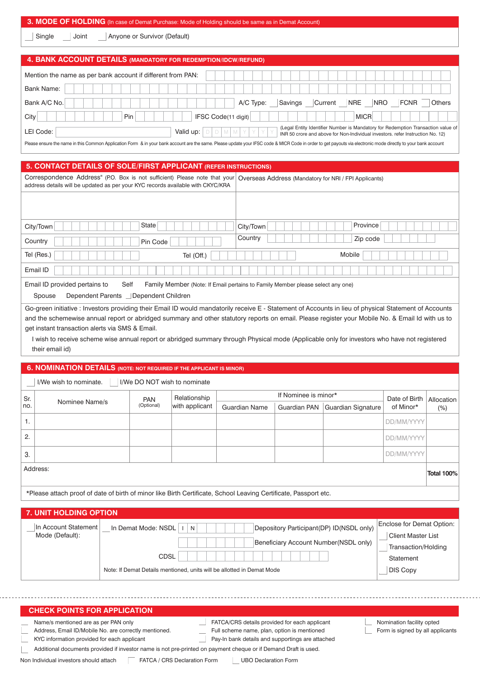## **3. MODE OF HOLDING** (In case of Demat Purchase: Mode of Holding should be same as in Demat Account)

| Single |  |
|--------|--|
|--------|--|

Joint | Anyone or Survivor (Default)

|                                                             | 4. BANK ACCOUNT DETAILS (MANDATORY FOR REDEMPTION/IDCW/REFUND)                                                                                                                                                 |
|-------------------------------------------------------------|----------------------------------------------------------------------------------------------------------------------------------------------------------------------------------------------------------------|
| Mention the name as per bank account if different from PAN: |                                                                                                                                                                                                                |
| Bank Name:                                                  |                                                                                                                                                                                                                |
| Bank A/C No.                                                | Savings<br>Current<br><b>NRE</b><br><b>NRO</b><br><b>FCNR</b><br>A/C Type:<br>Others                                                                                                                           |
| City                                                        | IFSC Code(11 digit)<br><b>MICR</b><br>Pin                                                                                                                                                                      |
| LEI Code:                                                   | (Legal Entity Identifier Number is Mandatory for Redemption Transaction value of<br>Valid up:<br>INR 50 crore and above for Non-Individual investors. refer Instruction No. 12)                                |
|                                                             | Please ensure the name in this Common Application Form & in your bank account are the same. Please update your IFSC code & MICR Code in order to get payouts via electronic mode directly to your bank account |

## **5. CONTACT DETAILS OF SOLE/FIRST APPLICANT (REFER INSTRUCTIONS)**

Correspondence Address" (P.O. Box is not sufficient) Please note that your Overseas Address (Mandatory for NRI / FPI Applicants) address details will be updated as per your KYC records available with CKYC/KRA

| State<br>City/Town       | Province<br>City/Town |
|--------------------------|-----------------------|
| Country<br>Pin Code      | Country<br>Zip code   |
| Tel (Res.)<br>Tel (Off.) | Mobile                |
| Email ID                 |                       |

Email ID provided pertains to Self Family Member (Note: If Email pertains to Family Member please select any one)

Spouse **Dependent Parents** Dependent Children

Go-green initiative : Investors providing their Email ID would mandatorily receive E - Statement of Accounts in lieu of physical Statement of Accounts and the schemewise annual report or abridged summary and other statutory reports on email. Please register your Mobile No. & Email Id with us to get instant transaction alerts via SMS & Email.

I wish to receive scheme wise annual report or abridged summary through Physical mode (Applicable only for investors who have not registered their email id)

|                                                        | <b>6. NOMINATION DETAILS (NOTE: NOT REQUIRED IF THE APPLICANT IS MINOR)</b>                                      |                     |                |                      |                      |                                                                                   |                                                        |            |  |  |  |
|--------------------------------------------------------|------------------------------------------------------------------------------------------------------------------|---------------------|----------------|----------------------|----------------------|-----------------------------------------------------------------------------------|--------------------------------------------------------|------------|--|--|--|
| I/We DO NOT wish to nominate<br>I/We wish to nominate. |                                                                                                                  |                     |                |                      |                      |                                                                                   |                                                        |            |  |  |  |
| Sr.                                                    |                                                                                                                  | <b>PAN</b>          | Relationship   |                      | If Nominee is minor* |                                                                                   | Date of Birth                                          | Allocation |  |  |  |
| no.                                                    | Nominee Name/s                                                                                                   | (Optional)          | with applicant | <b>Guardian Name</b> | <b>Guardian PAN</b>  | Guardian Signature                                                                | of Minor*                                              | $(\%)$     |  |  |  |
| 1.                                                     |                                                                                                                  |                     |                |                      |                      |                                                                                   | DD/MM/YYYY                                             |            |  |  |  |
| 2.                                                     |                                                                                                                  |                     |                |                      |                      |                                                                                   | DD/MM/YYYY                                             |            |  |  |  |
| 3.                                                     |                                                                                                                  |                     |                |                      |                      |                                                                                   | DD/MM/YYYY                                             |            |  |  |  |
| Address:                                               |                                                                                                                  |                     |                |                      |                      |                                                                                   |                                                        |            |  |  |  |
|                                                        | *Please attach proof of date of birth of minor like Birth Certificate, School Leaving Certificate, Passport etc. |                     |                |                      |                      |                                                                                   |                                                        |            |  |  |  |
| <b>7. UNIT HOLDING OPTION</b>                          |                                                                                                                  |                     |                |                      |                      |                                                                                   |                                                        |            |  |  |  |
|                                                        | In Account Statement<br>Mode (Default):                                                                          | In Demat Mode: NSDL | N              |                      |                      | Depository Participant(DP) ID(NSDL only)<br>Beneficiary Account Number(NSDL only) | Enclose for Demat Option:<br><b>Client Master List</b> |            |  |  |  |
|                                                        |                                                                                                                  |                     |                |                      |                      |                                                                                   | Transaction/Holding                                    |            |  |  |  |

Note: If Demat Details mentioned, units will be allotted in Demat Mode

CDSL

| <b>CHECK POINTS FOR APPLICATION</b>                                                                             |                                                  |                                  |
|-----------------------------------------------------------------------------------------------------------------|--------------------------------------------------|----------------------------------|
| Name/s mentioned are as per PAN only                                                                            | FATCA/CRS details provided for each applicant    | Nomination facility opted        |
| Address, Email ID/Mobile No. are correctly mentioned.                                                           | Full scheme name, plan, option is mentioned      | Form is signed by all applicants |
| KYC information provided for each applicant                                                                     | Pay-In bank details and supportings are attached |                                  |
| Additional documents provided if investor name is not pre-printed on payment cheque or if Demand Draft is used. |                                                  |                                  |

Non Individual investors should attach <sup>FATCA</sup> / CRS Declaration Form UBO Declaration Form

 Statement DIS Copy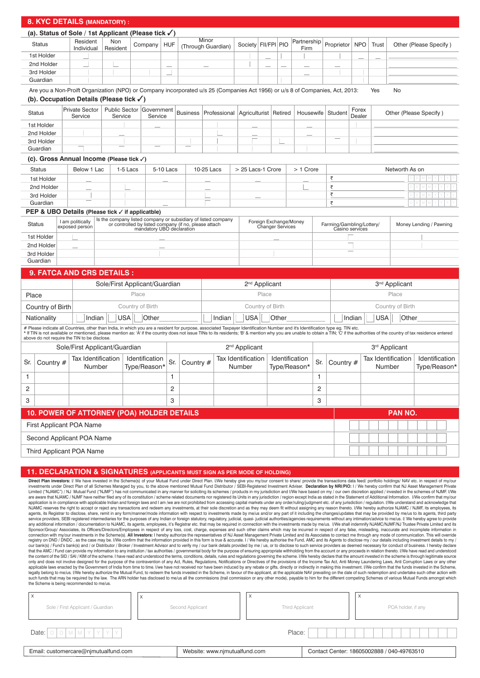| 8. KYC DETAILS (MANDATORY) :                                                                                              |                                                                                                                                                                                                                                 |                                    |                              |                               |       |                                       |     |                                                                                                                        |                             |        |                           |       |                  |                                |     |                           |                                           |                  |                                     |                                                                                                                                                                                                                                |  |
|---------------------------------------------------------------------------------------------------------------------------|---------------------------------------------------------------------------------------------------------------------------------------------------------------------------------------------------------------------------------|------------------------------------|------------------------------|-------------------------------|-------|---------------------------------------|-----|------------------------------------------------------------------------------------------------------------------------|-----------------------------|--------|---------------------------|-------|------------------|--------------------------------|-----|---------------------------|-------------------------------------------|------------------|-------------------------------------|--------------------------------------------------------------------------------------------------------------------------------------------------------------------------------------------------------------------------------|--|
|                                                                                                                           | (a). Status of Sole / 1st Applicant (Please tick $\checkmark$ )                                                                                                                                                                 |                                    |                              |                               |       |                                       |     |                                                                                                                        |                             |        |                           |       |                  |                                |     |                           |                                           |                  |                                     |                                                                                                                                                                                                                                |  |
|                                                                                                                           | <b>Status</b>                                                                                                                                                                                                                   |                                    | Resident<br>Individual       | Non<br>Resident               |       | Company                               | HUF |                                                                                                                        | Minor<br>(Through Guardian) |        | Society   FII/FPI   PIO   |       |                  | Partnership<br>Firm            |     | Proprietor                | <b>NPO</b>                                | Trust            |                                     | Other (Please Specify)                                                                                                                                                                                                         |  |
|                                                                                                                           | 1st Holder                                                                                                                                                                                                                      |                                    |                              |                               |       |                                       |     |                                                                                                                        |                             |        |                           |       |                  |                                |     |                           |                                           |                  |                                     |                                                                                                                                                                                                                                |  |
|                                                                                                                           | 2nd Holder                                                                                                                                                                                                                      |                                    |                              |                               |       |                                       |     |                                                                                                                        |                             |        |                           |       |                  |                                |     |                           |                                           |                  |                                     |                                                                                                                                                                                                                                |  |
|                                                                                                                           | 3rd Holder                                                                                                                                                                                                                      |                                    |                              |                               |       |                                       |     |                                                                                                                        |                             |        |                           |       |                  |                                |     |                           |                                           |                  |                                     |                                                                                                                                                                                                                                |  |
|                                                                                                                           | Guardian                                                                                                                                                                                                                        |                                    |                              |                               |       |                                       |     |                                                                                                                        |                             |        |                           |       |                  |                                |     |                           |                                           |                  |                                     |                                                                                                                                                                                                                                |  |
|                                                                                                                           | Are you a Non-Proift Organization (NPO) or Company incorporated u/s 25 (Companies Act 1956) or u/s 8 of Companies, Act, 2013:<br>No<br>Yes<br>(b). Occupation Details (Please tick √)                                           |                                    |                              |                               |       |                                       |     |                                                                                                                        |                             |        |                           |       |                  |                                |     |                           |                                           |                  |                                     |                                                                                                                                                                                                                                |  |
|                                                                                                                           | <b>Status</b>                                                                                                                                                                                                                   | <b>Private Sector</b><br>Service   |                              | Service                       |       | Public Sector   Government<br>Service |     | <b>Business</b>                                                                                                        | Professional                |        | Agriculturist   Retired   |       |                  |                                |     | Housewife   Student       | Forex<br>Other (Please Specify)<br>Dealer |                  |                                     |                                                                                                                                                                                                                                |  |
|                                                                                                                           | 1st Holder                                                                                                                                                                                                                      |                                    |                              |                               |       |                                       |     |                                                                                                                        |                             |        |                           |       |                  |                                |     |                           |                                           |                  |                                     |                                                                                                                                                                                                                                |  |
|                                                                                                                           | 2nd Holder                                                                                                                                                                                                                      |                                    |                              |                               |       |                                       |     |                                                                                                                        |                             |        |                           |       |                  |                                |     |                           |                                           |                  |                                     |                                                                                                                                                                                                                                |  |
|                                                                                                                           | 3rd Holder                                                                                                                                                                                                                      |                                    |                              |                               |       |                                       |     |                                                                                                                        |                             |        |                           |       |                  |                                |     |                           |                                           |                  |                                     |                                                                                                                                                                                                                                |  |
|                                                                                                                           | Guardian                                                                                                                                                                                                                        |                                    |                              |                               |       |                                       |     |                                                                                                                        |                             |        |                           |       |                  |                                |     |                           |                                           |                  |                                     |                                                                                                                                                                                                                                |  |
|                                                                                                                           | (c). Gross Annual Income (Please tick √)                                                                                                                                                                                        |                                    |                              |                               |       |                                       |     |                                                                                                                        |                             |        |                           |       |                  |                                |     |                           |                                           |                  |                                     |                                                                                                                                                                                                                                |  |
| Below 1 Lac<br>10-25 Lacs<br>$> 1$ Crore<br><b>Status</b><br>1-5 Lacs<br>5-10 Lacs<br>> 25 Lacs-1 Crore<br>Networth As on |                                                                                                                                                                                                                                 |                                    |                              |                               |       |                                       |     |                                                                                                                        |                             |        |                           |       |                  |                                |     |                           |                                           |                  |                                     |                                                                                                                                                                                                                                |  |
|                                                                                                                           | 1st Holder                                                                                                                                                                                                                      |                                    |                              |                               |       |                                       |     |                                                                                                                        |                             |        |                           |       |                  |                                |     | ₹                         |                                           |                  |                                     |                                                                                                                                                                                                                                |  |
|                                                                                                                           | 2nd Holder                                                                                                                                                                                                                      |                                    |                              |                               |       |                                       |     |                                                                                                                        |                             |        |                           |       |                  |                                |     | ₹                         |                                           |                  |                                     |                                                                                                                                                                                                                                |  |
|                                                                                                                           | 3rd Holder                                                                                                                                                                                                                      |                                    |                              |                               |       |                                       |     |                                                                                                                        |                             |        |                           |       |                  |                                |     | ₹                         |                                           |                  |                                     |                                                                                                                                                                                                                                |  |
|                                                                                                                           | Guardian                                                                                                                                                                                                                        |                                    |                              |                               |       |                                       |     |                                                                                                                        |                             |        |                           |       |                  |                                |     | ₹                         |                                           |                  |                                     |                                                                                                                                                                                                                                |  |
|                                                                                                                           | PEP & UBO Details (Please tick √ if applicatble)                                                                                                                                                                                |                                    |                              |                               |       |                                       |     |                                                                                                                        |                             |        |                           |       |                  |                                |     |                           |                                           |                  |                                     |                                                                                                                                                                                                                                |  |
| <b>Status</b>                                                                                                             |                                                                                                                                                                                                                                 | I am politically<br>exposed person |                              |                               |       | mandatory UBO declaration             |     | Is the company listed company or subsidiary of listed company<br>or controlled by listed company (if no, please attach |                             |        |                           |       | Changer Services | Foreign Exchange/Money         |     | Farming/Gambling/Lottery/ | Casino services                           |                  |                                     | Money Lending / Pawning                                                                                                                                                                                                        |  |
|                                                                                                                           | 1st Holder                                                                                                                                                                                                                      |                                    |                              |                               |       |                                       |     |                                                                                                                        |                             |        |                           |       |                  |                                |     |                           |                                           |                  |                                     |                                                                                                                                                                                                                                |  |
|                                                                                                                           | 2nd Holder                                                                                                                                                                                                                      |                                    |                              |                               |       |                                       |     |                                                                                                                        |                             |        |                           |       |                  |                                |     |                           |                                           |                  |                                     |                                                                                                                                                                                                                                |  |
|                                                                                                                           | 3rd Holder                                                                                                                                                                                                                      |                                    |                              |                               |       |                                       |     |                                                                                                                        |                             |        |                           |       |                  |                                |     |                           |                                           |                  |                                     |                                                                                                                                                                                                                                |  |
|                                                                                                                           | Guardian                                                                                                                                                                                                                        |                                    |                              |                               |       |                                       |     |                                                                                                                        |                             |        |                           |       |                  |                                |     |                           |                                           |                  |                                     |                                                                                                                                                                                                                                |  |
|                                                                                                                           | 9. FATCA AND CRS DETAILS :                                                                                                                                                                                                      |                                    |                              |                               |       |                                       |     |                                                                                                                        |                             |        |                           |       |                  |                                |     |                           |                                           |                  |                                     |                                                                                                                                                                                                                                |  |
|                                                                                                                           |                                                                                                                                                                                                                                 |                                    |                              |                               |       | Sole/First Applicant/Guardian         |     |                                                                                                                        |                             |        | 2 <sup>nd</sup> Applicant |       |                  |                                |     |                           |                                           |                  | 3 <sup>nd</sup> Applicant           |                                                                                                                                                                                                                                |  |
| Place                                                                                                                     |                                                                                                                                                                                                                                 |                                    |                              |                               | Place |                                       |     |                                                                                                                        |                             |        |                           | Place |                  |                                |     |                           |                                           |                  | Place                               |                                                                                                                                                                                                                                |  |
|                                                                                                                           | Country of Birth                                                                                                                                                                                                                |                                    |                              |                               |       | Country of Birth                      |     |                                                                                                                        |                             |        |                           |       | Country of Birth |                                |     |                           |                                           | Country of Birth |                                     |                                                                                                                                                                                                                                |  |
|                                                                                                                           | Nationality                                                                                                                                                                                                                     |                                    | Indian                       | <b>USA</b>                    |       | Other                                 |     |                                                                                                                        | Indian                      |        | <b>USA</b>                |       | Other            |                                |     |                           | Indian                                    |                  | <b>USA</b><br>Other                 |                                                                                                                                                                                                                                |  |
|                                                                                                                           | # Please indicate all Countries, other than India, in which you are a resident for purpose, associated Taxpayer Identification Number and it's Identification type eg. TIN etc.<br>above do not require the TIN to be disclose. |                                    |                              |                               |       |                                       |     |                                                                                                                        |                             |        |                           |       |                  |                                |     |                           |                                           |                  |                                     | * If TIN is not available or mentioned, please mention as: 'A' if the country does not issue TINs to its residents; 'B' & mention why you are unable to obtain a TIN; 'C' if the authorities of the country of tax residence e |  |
|                                                                                                                           |                                                                                                                                                                                                                                 |                                    |                              | Sole/First Applicant/Guardian |       |                                       |     |                                                                                                                        |                             |        | 2 <sup>nd</sup> Applicant |       |                  |                                |     |                           |                                           |                  | 3 <sup>rd</sup> Applicant           |                                                                                                                                                                                                                                |  |
| Sr.                                                                                                                       | Country #                                                                                                                                                                                                                       |                                    | Tax Identification<br>Number |                               |       | Identification<br>Type/Reason*        | Sr. | Country #                                                                                                              |                             | Number | <b>Tax Identification</b> |       |                  | Identification<br>Type/Reason* | Sr. | Country $#$               |                                           |                  | <b>Tax Identification</b><br>Number | Identification<br>Type/Reason*                                                                                                                                                                                                 |  |
| 1                                                                                                                         |                                                                                                                                                                                                                                 |                                    |                              |                               |       |                                       | 1   |                                                                                                                        |                             |        |                           |       |                  |                                | 1   |                           |                                           |                  |                                     |                                                                                                                                                                                                                                |  |
| 2                                                                                                                         |                                                                                                                                                                                                                                 |                                    |                              |                               |       |                                       | 2   |                                                                                                                        |                             |        |                           |       |                  |                                | 2   |                           |                                           |                  |                                     |                                                                                                                                                                                                                                |  |
| 3                                                                                                                         |                                                                                                                                                                                                                                 |                                    |                              |                               |       |                                       | 3   |                                                                                                                        |                             |        |                           |       |                  |                                | 3   |                           |                                           |                  |                                     |                                                                                                                                                                                                                                |  |
|                                                                                                                           | 10. POWER OF ATTORNEY (POA) HOLDER DETAILS                                                                                                                                                                                      |                                    |                              |                               |       |                                       |     |                                                                                                                        |                             |        |                           |       |                  |                                |     |                           |                                           |                  | PAN NO.                             |                                                                                                                                                                                                                                |  |
|                                                                                                                           | First Applicant POA Name                                                                                                                                                                                                        |                                    |                              |                               |       |                                       |     |                                                                                                                        |                             |        |                           |       |                  |                                |     |                           |                                           |                  |                                     |                                                                                                                                                                                                                                |  |
|                                                                                                                           | Second Applicant POA Name                                                                                                                                                                                                       |                                    |                              |                               |       |                                       |     |                                                                                                                        |                             |        |                           |       |                  |                                |     |                           |                                           |                  |                                     |                                                                                                                                                                                                                                |  |
|                                                                                                                           | Third Applicant POA Name                                                                                                                                                                                                        |                                    |                              |                               |       |                                       |     |                                                                                                                        |                             |        |                           |       |                  |                                |     |                           |                                           |                  |                                     |                                                                                                                                                                                                                                |  |
|                                                                                                                           |                                                                                                                                                                                                                                 |                                    |                              |                               |       |                                       |     |                                                                                                                        |                             |        |                           |       |                  |                                |     |                           |                                           |                  |                                     |                                                                                                                                                                                                                                |  |

## **11. DECLARATION & SIGNATURES (APPLICANTS MUST SIGN AS PER MODE OF HOLDING)**

**Direct Plan investors:** I/ We have invested in the Scheme(s) of your Mutual Fund under Direct Plan. I/We hereby give you my/our consent to share/ provide the transactions data feed/ portfolio holdings/ NAV etc. in respect Limited ("NJAMC") / NJ Mutual Fund ("NJMF") has not communicated in any manner for soliciting its schemes / products in my jurisdiction and I/We have based on my / our own discretion applied / invested in the schemes of N application is in compliance with applicable Indian and foreign laws and I am /we are not prohibited from accessing capital markets under any order/ruling/judgment etc. of any jurisdiction / regulation. I/We understand and service providers, SEBI registered intermediaries for the purposes of any Indian or foreign statutory, regulatory, judicial, quasi- judicial authorities/agencies requirements without any intimation/advice to me/us. I/We h Sponsor/Group/ Associates, its Officers/Directors/Employees in respect of any loss, cost, charge, expenses and such other claims which may be incurred in respect of any false, misleading, inaccurate and incomplete informa our bank(s) / Fund's bank(s) and / or Distributor / Broker / Investment Advisor and to verify my / our bank details provided by me / us, or to disclose to such service providers as deemed necessary for conduct of business. only and does not involve designed for the purpose of the contravention of any Act, Rules, Regulations, Notifications or Directives of the provisions of the Income Tax Act, Anti Money Laundering Laws, Anti Corruption Laws specification and contract the method of the Mutual Fund, to redeem the funds invested in the Scheme, in favour of the applicant, at the applicable NAV prevailing on the date of such redemption and undertake such other act such funds that may be required by the law. The ARN holder has disclosed to me/us all the commissions (trail commission or any other mode), payable to him for the different competing Schemes of various Mutual Funds amongst the Scheme is being recommended to me/us.

| Sole / First Applicant / Guardian    | Second Applicant              | $\lambda$<br><b>Third Applicant</b> |                                            | $\wedge$<br>POA holder, if any |  |  |  |  |
|--------------------------------------|-------------------------------|-------------------------------------|--------------------------------------------|--------------------------------|--|--|--|--|
| $D D M M N Y Y Y$<br>Date:           |                               | Place:                              |                                            |                                |  |  |  |  |
| Email: customercare@njmutualfund.com | Website: www.njmutualfund.com |                                     | Contact Center: 18605002888 / 040-49763510 |                                |  |  |  |  |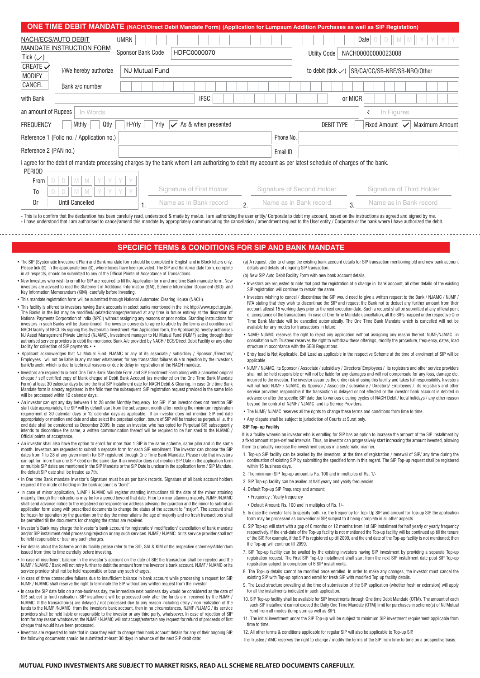|                                                                                                                                                        | <b>ONE TIME DEBIT MANDATE</b> (NACH/Direct Debit Mandate Form) (Application for Lumpsum Addition Purchases as well as SIP Registation) |                              |                                         |  |  |  |  |  |  |
|--------------------------------------------------------------------------------------------------------------------------------------------------------|----------------------------------------------------------------------------------------------------------------------------------------|------------------------------|-----------------------------------------|--|--|--|--|--|--|
| NACH/ECS/AUTO DEBIT<br><b>UMRN</b>                                                                                                                     |                                                                                                                                        |                              | Date                                    |  |  |  |  |  |  |
| MANDATE INSTRUCTION FORM<br>Sponsor Bank Code                                                                                                          | HDFC0000070                                                                                                                            | <b>Utility Code</b>          | NACH00000000023008                      |  |  |  |  |  |  |
| Tick $(\vee)$                                                                                                                                          |                                                                                                                                        |                              |                                         |  |  |  |  |  |  |
| CREATE $\sqrt{}$<br>I/We hereby authorize<br><b>NJ Mutual Fund</b><br><b>MODIFY</b>                                                                    |                                                                                                                                        | to debit (tick $\swarrow$ )  | SB/CA/CC/SB-NRE/SB-NR0/Other            |  |  |  |  |  |  |
| CANCEL<br>Bank a/c number                                                                                                                              |                                                                                                                                        |                              |                                         |  |  |  |  |  |  |
| with Bank                                                                                                                                              | <b>IFSC</b>                                                                                                                            | or MICR                      |                                         |  |  |  |  |  |  |
| an amount of Rupees<br>In Words<br>₹<br>In Figures                                                                                                     |                                                                                                                                        |                              |                                         |  |  |  |  |  |  |
| <b>H-Yrly</b><br><b>Mthly</b><br>Qtly<br><b>FREQUENCY</b>                                                                                              | As & when presented<br><del>Yrly</del>   ✓                                                                                             | <b>DEBIT TYPE</b>            | Fixed Amount V<br><b>Maximum Amount</b> |  |  |  |  |  |  |
| Reference 1 (Folio no. / Application no.)                                                                                                              |                                                                                                                                        | Phone No.                    |                                         |  |  |  |  |  |  |
| Reference 2 (PAN no.)                                                                                                                                  |                                                                                                                                        | Email ID                     |                                         |  |  |  |  |  |  |
| agree for the debit of mandate processing charges by the bank whom I am authorizing to debit my account as per latest schedule of charges of the bank. |                                                                                                                                        |                              |                                         |  |  |  |  |  |  |
| <b>PERIOD</b>                                                                                                                                          |                                                                                                                                        |                              |                                         |  |  |  |  |  |  |
| From                                                                                                                                                   |                                                                                                                                        |                              |                                         |  |  |  |  |  |  |
| Y<br>T <sub>0</sub><br>M                                                                                                                               | Signature of First Holder                                                                                                              | Signature of Second Holder   | Signature of Third Holder               |  |  |  |  |  |  |
| <b>Until Cancelled</b><br>0r                                                                                                                           | Name as in Bank record<br>2.                                                                                                           | Name as in Bank record<br>3. | Name as in Bank record                  |  |  |  |  |  |  |

- This is to confirm that the declaration has been carefully read, understood & made by me/us. I am authorizing the user entity/ Corporate to debit my account, based on the instructions as agreed and signed by me I have understood that I am authorised to cancel/amend this mandate by appropriately communicating the cancellation / amendment request to the User entity / Corporate or the bank where I have authorized the debit.

#### **SPECIFIC TERMS & CONDITIONS FOR SIP AND BANK MANDATE**

- The SIP (Systematic Investment Plan) and Bank mandate form should be completed in English and in Block letters only. Please tick ( ) in the appropriate box ( ), where boxes have been provided. The SIP and Bank mandate form, complete<br>in all respects, should be submitted to any of the Official Points of Acceptance of Transactions.
- New Investors who wish to enroll for SIP are required to fill the Application form and one time Bank mandate form. New investors are advised to read the Statement of Additional Information (SAI), Scheme Information Document (SID) and Key Information Memorandum (KIM) carefully before investing.
- This mandate registration form will be submitted through National Automated Clearing House (NACH).
- This facility is offered to investors having Bank accounts in select banks mentioned in the link http://www.npci.org.in/. The Banks in the list may be modified/updated/changed/removed at any time in future entirely at the discretion of National Payments Corporation of India (NPCI) without assigning any reasons or prior notice. Standing instructions for investors in such Banks will be discontinued. The investor consents to agree to abide by the terms and conditions of NACH facility of NPCI. By signing this Systematic Investment Plan Application form, the Applicant(s) hereby authorises NJ Asset Management Private Limited (NJAMC), Investment manager to NJ Mutual Fund (NJMF) acting through their authorised service providers to debit the mentioned Bank A/c provided by NACH / ECS/Direct Debit Facility or any other facility for collection of SIP payments. • •
- Applicant acknowledges that NJ Mutual Fund, NJAMC or any of its associate / subsidiary / Sponsor /Directors/ Employees will not be liable in any manner whatsoever, for any transaction failures due to rejection by the investor's bank/branch, which is due to technical reasons or due to delay in registration of the NACH mandate.
- livestors are required to submit One Time Bank Mandate Form and SIP Enrollment Form along with a cancelled original»<br>cheque / self certified copy of blank cheque of Debit Bank Account (as mentioned on the One Time Bank Man Form) at least 30 calendar days before the first SIP Installment date for NACH Debit & Clearing. In case One time Bank Mandate form is already registered in the folio then the subsequent SIP registration request provided in the same folio will be processed within 12 calendar days.
- An investor can opt any day between 1 to 28 under Monthly frequency for SIP. If an investor does not mention SIP start date appropriately, the SIP will by default start from the subsequent month after meeting the minimum registration<br>requirement of 30 calendar days or 12 calendar days as applicable. If an investor does not mention SI appropriately or mention end date and also select the perpetual option, tenure of SIP will be treated as perpetual i.e. the<br>end date shall be considered as December 2099. In case an investor, who has opted for Perpetual SI intends to discontinue the same, a written communication thereof will be required to be furnished to the NJAMC Official points of acceptance.
- An investor shall also have the option to enroll for more than 1 SIP in the same scheme, same plan and in the same month. Investors are requested to submit a separate form for each SIP enrollment. The investor can choose the SIP dates from 1 to 28 of any given month for SIP registered through One Time Bank Mandate. Please note that investors can opt for more than one SIP debit on the same day. If an investor does not mention SIP Date in the application form<br>or multiple SIP dates are mentioned in the SIP Mandate or the SIP Date is unclear in the application fo the default SIP date shall be treated as 7th.
- In One time Bank mandate Investor's Signature must be as per bank records. Signature of all bank account holders required if the mode of holding in the bank account is "Joint".
- In case of minor application, NJMF / NJAMC will register standing instructions till the date of the minor attaini majority, though the instructions may be for a period beyond that date. Prior to minor attaining majority, NJMF /NJAMC shall send advance notice to the registered correspondence address advising the guardian and the minor to submit an application form along with prescribed documents to change the status of the account to "major". The account shall be frozen for operation by the guardian on the day the minor attains the age of majority and no fresh transactions shall be permitted till the documents for changing the status are received.
- Investor's Bank may charge the Investor's bank account for registration/ modification/ cancellation of bank mandate and/or SIP installment debit processing/rejection or any such services. NJMF / NJAMC or its service provider shall not be held responsible or bear any such charges.
- For details about the Scheme and its facility please refer to the SID, SAI & KIM of the respective schemes/Addendum issued from time to time carefully before investing.
- In case of insufficient balance in the investor's account on the date of SIP, the transaction shall be rejected and the NJMF / NJAMC / Bank will not retry further to debit the amount from the investor's bank account. NJMF / NJAMC or its service provider shall not be held responsible or bear any such charges.
- In case of three consecutive failures due to insufficient balance in bank account while processing a request for SIP, NJMF / NJAMC shall reserve the right to terminate the SIP without any written request from the investor.
- In case the SIP date falls on a non-business day, the immediate next business day would be considered as the date of SIP, subject to fund realisation. SIP installment will be processed only after the funds are received by the NJMF NJAMC. If the transaction(s) are delayed / not processed due to any reason including delay / non realization of the funds to the NJMF /NJAMC from the investor's bank account, then in no circumstances, NJMF /NJAMC / its service providers shall be held liable or responsible to the investor or any third party, whatsoever. In case of rejection of SIP form for any reason whatsoever, the NJMF / NJAMC will not accept/entertain any request for refund of proceeds of first cheque that would have been processed.
- Investors are requested to note that in case they wish to change their bank account details for any of their ongoing SIP, the following documents should be submitted at-least 30 days in advance of the next SIP debit date:

(a) A request letter to change the existing bank account details for SIP transaction mentioning old and new bank account details and details of ongoing SIP transaction.

- (b) New SIP Auto Debit Facility Form with new bank account details.
- Investors are requested to note that post the registration of a change in bank account, all other details of the existing SIP registration will continue to remain the same.
- Investors wishing to cancel / discontinue the SIP would need to give a written request to the Bank / NJAMC / NJMF / RTA stating that they wish to discontinue the SIP and request the Bank not to deduct any further amount from their account atleast 15 working days prior to the next execution date. Such a request shall be submitted at any official point of acceptance of the transactions. In case of One Time Mandate cancellation, all the SIPs mapped under respective One Time Bank Mandate will be cancelled automatically. The One Time Bank Mandate which is cancelled will not be available for any modes for transactions in future.
- NJMF/ NJAMC reserves the right to reject any application without assigning any reason thereof. NJMF/NJAMC in consultation with Trustees reserves the right to withdraw these offerings, modify the procedure, frequency, dates, load structure in accordance with the SEBI Regulations.
- Entry load is Not Applicable. Exit Load as applicable in the respective Scheme at the time of enrolment of SIP will be applicable.
- NJMF / NJAMC, its Sponsor / Associate / subsidiary / Directors/ Employees / its registrars and other service providers shall not be held responsible or will not be liable for any damages and will not compensate for any loss, damage etc. incurred to the investor. The investor assumes the entire risk of using this facility and takes full responsibility. Investors will not hold NJMF / NJAMC, its Sponsor / Associate / subsidiary / Directors/ Employees / its registrars and other service providers responsible if the transaction is delayed or not effected or the investor bank account is debited in advance or after the specific SIP date due to various clearing cycles of NACH Debit / local holidays / any other reason beyond the control of NJMF / NJAMC and its Service Providers.
- The NJMF/ NJAMC reserves all the rights to change these terms and conditions from time to time.
- Any dispute shall be subject to jurisdiction of Courts at Surat only.

#### **SIP Top- up Facility**

It is a facility wherein an investor who is enrolling for SIP has an option to increase the amount of the SIP installment by a fixed amount at pre-defined intervals. Thus, an investor can progressively start increasing the amount invested, allowing them to gradually increase the investment corpus in a systematic manner.

- 1. Top-up SIP facility can be availed by the investors, at the time of registration / renewal of SIP/ any time during the continuation of existing SIP by submitting the specified form in this regard. The SIP Top-up request shall be registered within 15 business days.
- 2. The minimum SIP Top-up amount is Rs. 100 and in multiples of Rs. 1/- .
- 3. SIP Top-up facility can be availed at half yearly and yearly frequencies
- 4. Default Top-up SIP Frequency and amount:
- Frequency : Yearly frequency
- Default Amount: Rs. 100 and in multiples of Rs. 1/-
- 5. In case the investor fails to specify both, i.e. the frequency for Top- Up SIP and amount for Top-up SIP, the application form may be processed as conventional SIP, subject to it being complete in all other aspects.
- 6. SIP Top-up will start with a gap of 6 months or 12 months from 1st SIP installment for half yearly or yearly frequency respectively. If the end-date of the Top-up facility is not mentioned the Top-up facility will be continued up till the tenure of the SIP. For example, if the SIP is registered up till 2099, and the end date of the Top-up facility is not mentioned; then the Top-up will continue till 2099.
- 7. SIP Top-up facility can be availed by the existing investors having SIP investment by providing a separate Top-up registration request. The First SIP Top-Up installment shall start from the next SIP installment date post SIP Top-up registration subject to completion of 6 SIP installments.
- 8. The Top-up details cannot be modified once enrolled. In order to make any changes, the investor must cancel the existing SIP with Top-up option and enroll for fresh SIP with modified Top up facility details.
- 9. The Load structure prevailing at the time of submission of the SIP application (whether fresh or extension) will apply for all the installments indicated in such application.
- 10. SIP Top-up facility shall be available for SIP Investments through One time Debit Mandate (OTM). The amount of each such SIP installment cannot exceed the Daily One Time Mandate (OTM) limit for purchases in scheme(s) of NJ Mutual Fund from all modes (lump sum as well as SIP).
- 11. The initial investment under the SIP Top-up will be subject to minimum SIP investment requirement applicable from time to time.
- 12. All other terms & conditions applicable for regular SIP will also be applicable to Top-up SIP.

The Trustee / AMC reserves the right to change / modify the terms of the SIP from time to time on a prospective basis.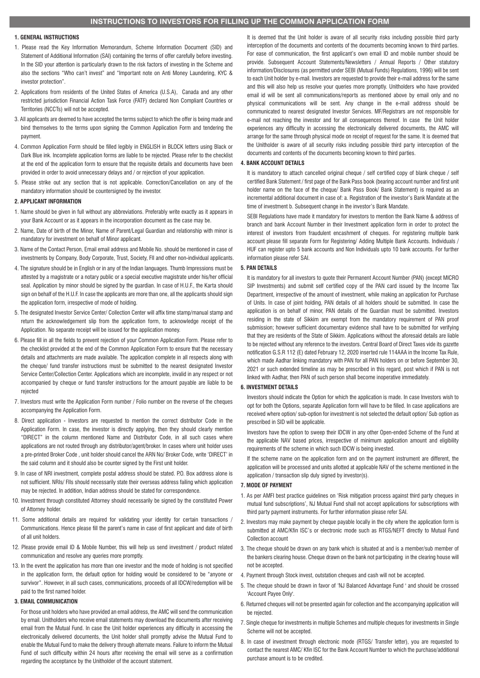#### **1. GENERAL INSTRUCTIONS**

- 1. Please read the Key Information Memorandum, Scheme Information Document (SID) and Statement of Additional Information (SAI) containing the terms of offer carefully before investing. In the SID your attention is particularly drawn to the risk factors of investing in the Scheme and also the sections "Who can't invest" and "Important note on Anti Money Laundering, KYC & investor protection".
- 2. Applications from residents of the United States of America (U.S.A), Canada and any other restricted jurisdiction Financial Action Task Force (FATF) declared Non Compliant Countries or Territories (NCCTs) will not be accepted.
- 3. All applicants are deemed to have accepted the terms subject to which the offer is being made and bind themselves to the terms upon signing the Common Application Form and tendering the payment.
- 4. Common Application Form should be filled legibly in ENGLISH in BLOCK letters using Black or Dark Blue ink. Incomplete application forms are liable to be rejected. Please refer to the checklist at the end of the application form to ensure that the requisite details and documents have been provided in order to avoid unnecessary delays and / or rejection of your application.
- 5. Please strike out any section that is not applicable. Correction/Cancellation on any of the mandatory information should be countersigned by the investor.

#### **2. APPLICANT INFORMATION**

- 1. Name should be given in full without any abbreviations. Preferably write exactly as it appears in your Bank Account or as it appears in the incorporation document as the case may be.
- 2. Name, Date of birth of the Minor, Name of Parent/Legal Guardian and relationship with minor is mandatory for investment on behalf of Minor applicant.
- 3. Name of the Contact Person, Email email address and Mobile No. should be mentioned in case of investments by Company, Body Corporate, Trust, Society, FII and other non-individual applicants.
- 4. The signature should be in English or in any of the Indian languages. Thumb Impressions must be attested by a magistrate or a notary public or a special executive magistrate under his/her official seal. Application by minor should be signed by the guardian. In case of H.U.F., the Karta should sign on behalf of the H.U.F. In case the applicants are more than one, all the applicants should sign the application form, irrespective of mode of holding.
- 5. The designated Investor Service Center/ Collection Center will affix time stamp/manual stamp and return the acknowledgement slip from the application form, to acknowledge receipt of the Application. No separate receipt will be issued for the application money.
- 6. Please fill in all the fields to prevent rejection of your Common Application Form. Please refer to the checklist provided at the end of the Common Application Form to ensure that the necessary details and attachments are made available. The application complete in all respects along with the cheque/ fund transfer instructions must be submitted to the nearest designated Investor Service Center/Collection Center. Applications which are incomplete, invalid in any respect or not accompanied by cheque or fund transfer instructions for the amount payable are liable to be rejected
- 7. Investors must write the Application Form number / Folio number on the reverse of the cheques accompanying the Application Form.
- 8. Direct application Investors are requested to mention the correct distributor Code in the Application Form. In case, the investor is directly applying, then they should clearly mention "DIRECT" in the column mentioned Name and Distributor Code, in all such cases where applications are not routed through any distributor/agent/broker. In cases where unit holder uses a pre-printed Broker Code , unit holder should cancel the ARN No/ Broker Code, write 'DIRECT' in the said column and it should also be counter signed by the First unit holder.
- 9. In case of NRI investment, complete postal address should be stated. P.O. Box address alone is not sufficient. NRIs/ FIIs should necessarily state their overseas address failing which application may be rejected. In addition, Indian address should be stated for correspondence.
- 10. Investment through constituted Attorney should necessarily be signed by the constituted Power of Attorney holder.
- 11. Some additional details are required for validating your identity for certain transactions / Communications. Hence please fill the parent's name in case of first applicant and date of birth of all unit holders.
- 12. Please provide email ID & Mobile Number, this will help us send investment / product related communication and resolve any queries more promptly.
- 13. In the event the application has more than one investor and the mode of holding is not specified in the application form, the default option for holding would be considered to be "anyone or survivor". However, in all such cases, communications, proceeds of all IDCW/redemption will be paid to the first named holder.

#### **3. EMAIL COMMUNICATION**

For those unit holders who have provided an email address, the AMC will send the communication by email. Unitholders who receive email statements may download the documents after receiving email from the Mutual Fund. In case the Unit holder experiences any difficulty in accessing the electronically delivered documents, the Unit holder shall promptly advise the Mutual Fund to enable the Mutual Fund to make the delivery through alternate means. Failure to inform the Mutual Fund of such difficulty within 24 hours after receiving the email will serve as a confirmation regarding the acceptance by the Unitholder of the account statement.

It is deemed that the Unit holder is aware of all security risks including possible third party interception of the documents and contents of the documents becoming known to third parties. For ease of communication, the first applicant's own email ID and mobile number should be provide. Subsequent Account Statements/Newsletters / Annual Reports / Other statutory information/Disclosures (as permitted under SEBI (Mutual Funds) Regulations, 1996) will be sent to each Unit holder by e-mail. Investors are requested to provide their e-mail address for the same and this will also help us resolve your queries more promptly. Unitholders who have provided email id will be sent all communications/reports as mentioned above by email only and no physical communications will be sent. Any change in the e-mail address should be communicated to nearest designated Investor Services. MF/Registrars are not responsible for e-mail not reaching the investor and for all consequences thereof. In case the Unit holder experiences any difficulty in accessing the electronically delivered documents, the AMC will arrange for the same through physical mode on receipt of request for the same. It is deemed that the Unitholder is aware of all security risks including possible third party interception of the documents and contents of the documents becoming known to third parties.

### **4. BANK ACCOUNT DETAILS**

It is mandatory to attach cancelled original cheque / self certified copy of blank cheque / self certified Bank Statement / first page of the Bank Pass book (bearing account number and first unit holder name on the face of the cheque/ Bank Pass Book/ Bank Statement) is required as an incremental additional document in case of: a. Registration of the investor's Bank Mandate at the time of investment b. Subsequent change in the investor's Bank Mandate.

SEBI Regulations have made it mandatory for investors to mention the Bank Name & address of branch and bank Account Number in their Investment application form in order to protect the interest of investors from fraudulent encashment of cheques. For registering multiple bank account please fill separate Form for Registering/ Adding Multiple Bank Accounts. Individuals / HUF can register upto 5 bank accounts and Non Individuals upto 10 bank accounts. For further information please refer SAI.

## **5. PAN DETAILS**

It is mandatory for all investors to quote their Permanent Account Number (PAN) (except MICRO SIP Investments) and submit self certified copy of the PAN card issued by the Income Tax Department, irrespective of the amount of investment, while making an application for Purchase of Units. In case of joint holding, PAN details of all holders should be submitted. In case the application is on behalf of minor, PAN details of the Guardian must be submitted. Investors residing in the state of Sikkim are exempt from the mandatory requirement of PAN proof submission; however sufficient documentary evidence shall have to be submitted for verifying that they are residents of the State of Sikkim. Applications without the aforesaid details are liable to be rejected without any reference to the investors. Central Board of Direct Taxes vide its gazette notification G.S.R 112 (E) dated February 12, 2020 inserted rule 114AAA in the Income Tax Rule, which made Aadhar linking mandatory with PAN for all PAN holders on or before September 30, 2021 or such extended timeline as may be prescribed in this regard, post which if PAN is not linked with Aadhar, then PAN of such person shall become inoperative immediately.

### **6. INVESTMENT DETAILS**

Investors should indicate the Option for which the application is made. In case Investors wish to opt for both the Options, separate Application form will have to be filled. In case applications are received where option/ sub-option for investment is not selected the default option/ Sub option as prescribed in SID will be applicable.

Investors have the option to sweep their IDCW in any other Open-ended Scheme of the Fund at the applicable NAV based prices, irrespective of minimum application amount and eligibility requirements of the scheme in which such IDCW is being invested.

If the scheme name on the application form and on the payment instrument are different, the application will be processed and units allotted at applicable NAV of the scheme mentioned in the application / transaction slip duly signed by investor(s).

#### **7. MODE OF PAYMENT**

- 1. As per AMFI best practice guidelines on 'Risk mitigation process against third party cheques in mutual fund subscriptions', NJ Mutual Fund shall not accept applications for subscriptions with third party payment instruments. For further information please refer SAI.
- 2. Investors may make payment by cheque payable locally in the city where the application form is submitted at AMC/Kfin ISC's or electronic mode such as RTGS/NEFT directly to Mutual Fund Collection account
- 3. The cheque should be drawn on any bank which is situated at and is a member/sub member of the bankers clearing house. Cheque drawn on the bank not participating in the clearing house will not be accepted.
- 4. Payment through Stock invest, outstation cheques and cash will not be accepted.
- 5. The cheque should be drawn in favor of 'NJ Balanced Advantage Fund ' and should be crossed 'Account Payee Only'.
- 6. Returned cheques will not be presented again for collection and the accompanying application will be rejected.
- 7. Single cheque for investments in multiple Schemes and multiple cheques for investments in Single Scheme will not be accepted.
- 8. In case of investment through electronic mode (RTGS/ Transfer letter), you are requested to contact the nearest AMC/ Kfin ISC for the Bank Account Number to which the purchase/additional purchase amount is to be credited.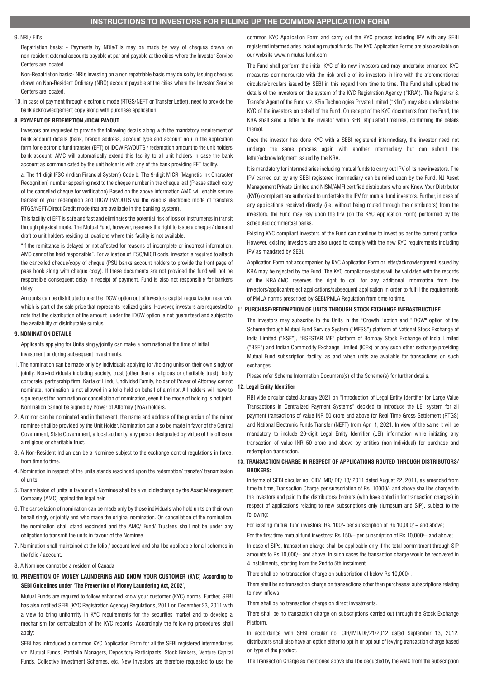#### 9. NRI / FII's

Repatriation basis: - Payments by NRIs/FIIs may be made by way of cheques drawn on non-resident external accounts payable at par and payable at the cities where the Investor Service Centers are located.

Non-Repatriation basis:- NRIs investing on a non repatriable basis may do so by issuing cheques drawn on Non-Resident Ordinary (NRO) account payable at the cities where the Investor Service Centers are located.

10. In case of payment through electronic mode (RTGS/NEFT or Transfer Letter), need to provide the bank acknowledgement copy along with purchase application.

## **8. PAYMENT OF REDEMPTION /IDCW PAYOUT**

Investors are requested to provide the following details along with the mandatory requirement of bank account details (bank, branch address, account type and account no.) in the application form for electronic fund transfer (EFT) of IDCW PAYOUTS / redemption amount to the unit holders bank account. AMC will automatically extend this facility to all unit holders in case the bank account as communicated by the unit holder is with any of the bank providing EFT facility.

a. The 11 digit IFSC (Indian Financial System) Code b. The 9-digit MICR (Magnetic Ink Character Recognition) number appearing next to the cheque number in the cheque leaf (Please attach copy of the cancelled cheque for verification) Based on the above information AMC will enable secure transfer of your redemption and IDCW PAYOUTS via the various electronic mode of transfers RTGS/NEFT/Direct Credit mode that are available in the banking system).

This facility of EFT is safe and fast and eliminates the potential risk of loss of instruments in transit through physical mode. The Mutual Fund, however, reserves the right to issue a cheque / demand draft to unit holders residing at locations where this facility is not available.

"If the remittance is delayed or not affected for reasons of incomplete or incorrect information, AMC cannot be held responsible". For validation of IFSC/MICR code, investor is required to attach the cancelled cheque/copy of cheque (PSU banks account holders to provide the front page of pass book along with cheque copy). If these documents are not provided the fund will not be responsible consequent delay in receipt of payment. Fund is also not responsible for bankers delay.

Amounts can be distributed under the IDCW option out of investors capital (equalization reserve), which is part of the sale price that represents realized gains. However, investors are requested to note that the distribution of the amount under the IDCW option is not guaranteed and subject to the availability of distributable surplus

## **9. NOMINATION DETAILS**

Applicants applying for Units singly/jointly can make a nomination at the time of initial investment or during subsequent investments.

- 1. The nomination can be made only by individuals applying for /holding units on their own singly or jointly. Non-individuals including society, trust (other than a religious or charitable trust), body corporate, partnership firm, Karta of Hindu Undivided Family, holder of Power of Attorney cannot nominate, nomination is not allowed in a folio held on behalf of a minor. All holders will have to sign request for nomination or cancellation of nomination, even if the mode of holding is not joint. Nomination cannot be signed by Power of Attorney (PoA) holders.
- 2. A minor can be nominated and in that event, the name and address of the guardian of the minor nominee shall be provided by the Unit Holder. Nomination can also be made in favor of the Central Government, State Government, a local authority, any person designated by virtue of his office or a religious or charitable trust.
- 3. A Non-Resident Indian can be a Nominee subiect to the exchange control regulations in force, from time to time.
- 4. Nomination in respect of the units stands rescinded upon the redemption/ transfer/ transmission of units.
- 5. Transmission of units in favour of a Nominee shall be a valid discharge by the Asset Management Company (AMC) against the legal heir.
- 6. The cancellation of nomination can be made only by those individuals who hold units on their own behalf singly or jointly and who made the original nomination. On cancellation of the nomination, the nomination shall stand rescinded and the AMC/ Fund/ Trustees shall not be under any obligation to transmit the units in favour of the Nominee.
- 7. Nomination shall maintained at the folio / account level and shall be applicable for all schemes in the folio / account.
- 8. A Nominee cannot be a resident of Canada

## **10. PREVENTION OF MONEY LAUNDERING AND KNOW YOUR CUSTOMER (KYC) According to SEBI Guidelines under 'The Prevention of Money Laundering Act, 2002',**

Mutual Funds are required to follow enhanced know your customer (KYC) norms. Further, SEBI has also notified SEBI (KYC Registration Agency) Regulations, 2011 on December 23, 2011 with a view to bring uniformity in KYC requirements for the securities market and to develop a mechanism for centralization of the KYC records. Accordingly the following procedures shall apply:

SEBI has introduced a common KYC Application Form for all the SEBI registered intermediaries viz. Mutual Funds, Portfolio Managers, Depository Participants, Stock Brokers, Venture Capital Funds, Collective Investment Schemes, etc. New Investors are therefore requested to use the

common KYC Application Form and carry out the KYC process including IPV with any SEBI registered intermediaries including mutual funds. The KYC Application Forms are also available on our website www.njmutualfund.com

The Fund shall perform the initial KYC of its new investors and may undertake enhanced KYC measures commensurate with the risk profile of its investors in line with the aforementioned circulars/circulars issued by SEBI in this regard from time to time. The Fund shall upload the details of the investors on the system of the KYC Registration Agency ("KRA"). The Registrar & Transfer Agent of the Fund viz. KFin Technologies Private Limited ("Kfin") may also undertake the KYC of the investors on behalf of the Fund. On receipt of the KYC documents from the Fund, the KRA shall send a letter to the investor within SEBI stipulated timelines, confirming the details thereof.

Once the investor has done KYC with a SEBI registered intermediary, the investor need not undergo the same process again with another intermediary but can submit the letter/acknowledgment issued by the KRA.

It is mandatory for intermediaries including mutual funds to carry out IPV of its new investors. The IPV carried out by any SEBI registered intermediary can be relied upon by the Fund. NJ Asset Management Private Limited and NISM/AMFI certified distributors who are Know Your Distributor (KYD) compliant are authorized to undertake the IPV for mutual fund investors. Further, in case of any applications received directly (i.e. without being routed through the distributors) from the investors, the Fund may rely upon the IPV (on the KYC Application Form) performed by the scheduled commercial banks.

Existing KYC compliant investors of the Fund can continue to invest as per the current practice. However, existing investors are also urged to comply with the new KYC requirements including IPV as mandated by SEBI.

Application Form not accompanied by KYC Application Form or letter/acknowledgment issued by KRA may be rejected by the Fund. The KYC compliance status will be validated with the records of the KRA.AMC reserves the right to call for any additional information from the investors/applicant/reject applications/subsequent application in order to fulfill the requirements of PMLA norms prescribed by SEBI/PMLA Regulation from time to time.

#### **11.PURCHASE/REDEMPTION OF UNITS THROUGH STOCK EXCHANGE INFRASTRUCTURE**

The investors may subscribe to the Units in the "Growth "option and "IDCW" option of the Scheme through Mutual Fund Service System ("MFSS") platform of National Stock Exchange of India Limited ("NSE"), "BSESTAR MF" platform of Bombay Stock Exchange of India Limited ("BSE") and Indian Commodity Exchange Limited (ICEx) or any such other exchange providing Mutual Fund subscription facility, as and when units are available for transactions on such exchanges.

Please refer Scheme Information Document(s) of the Scheme(s) for further details.

## **12. Legal Entity Identifier**

RBI vide circular dated January 2021 on "Introduction of Legal Entity Identifier for Large Value Transactions in Centralized Payment Systems" decided to introduce the LEI system for all payment transactions of value INR 50 crore and above for Real Time Gross Settlement (RTGS) and National Electronic Funds Transfer (NEFT) from April 1, 2021. In view of the same it will be mandatory to include 20-digit Legal Entity Identifier (LEI) information while initiating any transaction of value INR 50 crore and above by entities (non-Individual) for purchase and redemption transaction.

## **13. TRANSACTION CHARGE IN RESPECT OF APPLICATIONS ROUTED THROUGH DISTRIBUTORS/ BROKERS:**

In terms of SEBI circular no. CIR/ IMD/ DF/ 13/ 2011 dated August 22, 2011, as amended from time to time, Transaction Charge per subscription of Rs. 10000/- and above shall be charged to the investors and paid to the distributors/ brokers (who have opted in for transaction charges) in respect of applications relating to new subscriptions only (lumpsum and SIP), subject to the following:

For existing mutual fund investors: Rs. 100/- per subscription of Rs 10,000/ – and above;

For the first time mutual fund investors: Rs 150/– per subscription of Rs 10,000/– and above;

In case of SIPs, transaction charge shall be applicable only if the total commitment through SIP amounts to Rs 10,000/– and above. In such cases the transaction charge would be recovered in 4 installments, starting from the 2nd to 5th instalment.

There shall be no transaction charge on subscription of below Rs 10,000/-.

There shall be no transaction charge on transactions other than purchases/ subscriptions relating to new inflows.

There shall be no transaction charge on direct investments.

There shall be no transaction charge on subscriptions carried out through the Stock Exchange Platform.

In accordance with SEBI circular no. CIR/IMD/DF/21/2012 dated September 13, 2012, distributors shall also have an option either to opt in or opt out of levying transaction charge based on type of the product.

The Transaction Charge as mentioned above shall be deducted by the AMC from the subscription